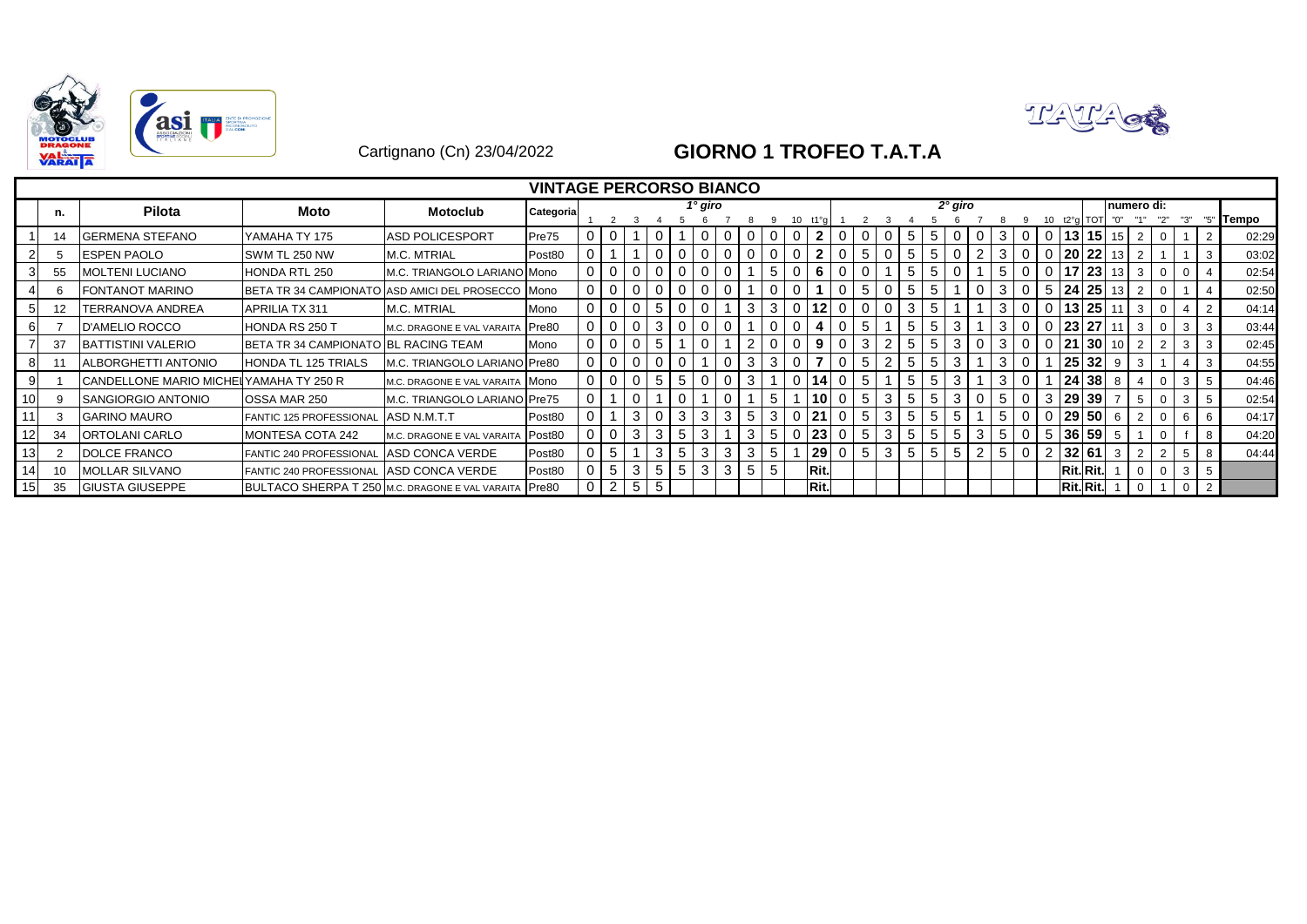



## Cartignano (Cn) 23/04/2022 **GIORNO 1 TROFEO T.A.T.A**

|                 |      |                                        |                                      |                                                   | <b>VINTAGE PERCORSO BIANCO</b> |                |          |          |     |                |             |   |                |   |                |      |             |                |                  |        |              |   |   |          |                |                 |                 |             |  |    |                |              |
|-----------------|------|----------------------------------------|--------------------------------------|---------------------------------------------------|--------------------------------|----------------|----------|----------|-----|----------------|-------------|---|----------------|---|----------------|------|-------------|----------------|------------------|--------|--------------|---|---|----------|----------------|-----------------|-----------------|-------------|--|----|----------------|--------------|
|                 | n.   | <b>Pilota</b>                          | Moto                                 | <b>Motoclub</b>                                   | Categoria                      |                |          |          |     |                | 1° giro     |   |                |   |                |      |             |                |                  |        | $2°$ giro    |   |   |          |                |                 |                 | Inumero di: |  |    |                |              |
|                 |      |                                        |                                      |                                                   |                                |                |          |          |     |                |             |   |                |   |                |      |             |                |                  |        |              |   |   |          |                | t2°a            | <b>TOT</b>      | "0"         |  |    |                | <b>Tempo</b> |
|                 | -14  | <b>GERMENA STEFANO</b>                 | YAMAHA TY 175                        | ASD POLICESPORT                                   | Pre75                          |                |          |          |     |                |             |   |                |   | $\Omega$       |      |             |                | 5                |        |              |   | 3 |          |                | 131             | $15$   15       |             |  |    |                | 02:29        |
|                 |      | <b>IESPEN PAOLO</b>                    | SWM TL 250 NW                        | <b>M.C. MTRIAL</b>                                | Post80                         |                |          |          |     |                |             |   |                |   |                |      |             | 5              | 5                |        |              |   |   |          |                |                 | 20   22         | 13          |  |    |                | 03:02        |
|                 | 55   | <b>MOLTENI LUCIANO</b>                 | <b>HONDA RTL 250</b>                 | M.C. TRIANGOLO LARIANO Mono                       |                                | 01             | 0        |          | - U | $\mathbf{0}$   | 0           |   |                | 5 | $\overline{0}$ | -6   |             | $\mathbf 0$    | 5                | 5      | $\mathbf{0}$ |   | 5 |          | 0 <sup>1</sup> | 17 I            | 23 13           |             |  |    |                | 02:54        |
|                 |      | <b>FONTANOT MARINO</b>                 |                                      | BETA TR 34 CAMPIONATO ASD AMICI DEL PROSECCO Mono |                                |                | 0        | $\Omega$ | -0  | $\mathbf{0}$   | $\mathbf 0$ |   |                |   | $\Omega$       |      | $\mathbf 0$ | 5              | 5<br>0           | 5      |              |   | 3 | $\Omega$ |                |                 | 5 24 25 13      |             |  |    |                | 02:50        |
| 51              | -12  | TERRANOVA ANDREA                       | <b>APRILIA TX 311</b>                | M.C. MTRIAL                                       | Mono                           | 0 <sup>1</sup> | 0        | $\Omega$ | 5   | $\overline{0}$ | 0           |   | 3              | 3 | $0$ 12         |      | 0           | $\overline{0}$ | 3<br>$\mathbf 0$ |        |              |   | 3 |          |                |                 | 13 25 11        |             |  |    | $\overline{2}$ | 04:14        |
|                 |      | <b>D'AMELIO ROCCO</b>                  | HONDA RS 250 T                       | M.C. DRAGONE E VAL VARAITA                        | Pre80                          | $\overline{0}$ | $\Omega$ | $\Omega$ | 3   | $\overline{0}$ | 0           |   |                |   | $\Omega$       |      |             | 5              | 5                | 5      | 3            |   | 3 |          |                | 23 27           |                 |             |  | 3  | 3              | 03:44        |
|                 | 37   | <b>BATTISTINI VALERIO</b>              | BETA TR 34 CAMPIONATO BL RACING TEAM |                                                   | Mono                           | $\overline{0}$ |          |          | 5   |                | $\Omega$    |   |                |   | $\mathbf 0$    | 9    |             | 3              | 5                | 5      | 3            |   |   |          |                | $2^{\prime}$    | 30 <sup>1</sup> |             |  |    | 3              | 02:45        |
|                 |      | <b>ALBORGHETTI ANTONIO</b>             | <b>HONDA TL 125 TRIALS</b>           | M.C. TRIANGOLO LARIANO Pre80                      |                                | 0 <sup>1</sup> | 0        |          |     |                |             |   | 3              | 3 | $\Omega$       |      |             | 5              | 5                |        | 3            |   | 3 |          |                | 25 <sub>l</sub> | $32$ $9$        |             |  |    | 3              | 04:55        |
|                 |      | CANDELLONE MARIO MICHELYAMAHA TY 250 R |                                      | M.C. DRAGONE E VAL VARAITA MONO                   |                                | 0 <sup>1</sup> | 0        | $\Omega$ | 5   | 5              | 0           |   | 3              |   | 0 14           |      | $\Omega$    | 5              | 5                | 5      | 3            |   | 3 |          |                | 24              | 38              | 8           |  | 3  |                | 04:46        |
| 10              |      | SANGIORGIO ANTONIO                     | OSSA MAR 250                         | M.C. TRIANGOLO LARIANO Pre75                      |                                |                |          |          |     |                |             |   |                | 5 |                | 10   |             | 5              | 5<br>3           | 5      | 3            |   | 5 |          | 3              |                 | 29 39           |             |  |    |                | 02:54        |
| 11              |      | <b>GARINO MAURO</b>                    | FANTIC 125 PROFESSIONAL              | ASD N.M.T.T                                       | Post80                         |                |          | 3        |     | 3              | 3           | 3 |                | 3 | 0121           |      |             | 5              | 5<br>3           | 5      | 5            |   | 5 |          |                |                 | 0 29 50 6       |             |  |    |                | 04:17        |
| 12 <sub>1</sub> | -34  | <b>ORTOLANI CARLO</b>                  | MONTESA COTA 242                     | M.C. DRAGONE E VAL VARAITA                        | Post80                         |                |          | 3        | 3   | 5              | 3           |   | 3              | 5 |                | 0 23 |             | 5              | 5<br>3           | 5      | 5            | 3 | 5 |          |                |                 | 5 36 59 5       |             |  |    |                | 04:20        |
| 13 <sub>1</sub> |      | <b>DOLCE FRANCO</b>                    | FANTIC 240 PROFESSIONAL              | ASD CONCA VERDE                                   | Post80                         |                | 5        |          | 3   | 5              | 3           | 3 | 3              | 5 |                | 29   | 0           | 5              | 3                | 5<br>5 | 5            |   | 5 | $\Omega$ |                | 2 32 61         |                 | 3           |  | -5 | 8              | 04:44        |
| 14              | 10   | <b>MOLLAR SILVANO</b>                  | <b>FANTIC 240 PROFESSIONAL</b>       | ASD CONCA VERDE                                   | Post80                         |                | 5        | 3        | 5   | 5              | 3           | 3 | 5 <sup>1</sup> | 5 |                | Rit. |             |                |                  |        |              |   |   |          |                |                 | Rit.Rit.        |             |  | 3  | 5              |              |
| 15              | - 35 | <b>GIUSTA GIUSEPPE</b>                 |                                      | BULTACO SHERPA T 250 M.C. DRAGONE E VAL VARAITA   | Pre80                          | 0 <sup>1</sup> | 2        | 5        | 5   |                |             |   |                |   |                | Rit. |             |                |                  |        |              |   |   |          |                |                 | Rit. Rit.       |             |  |    | 2              |              |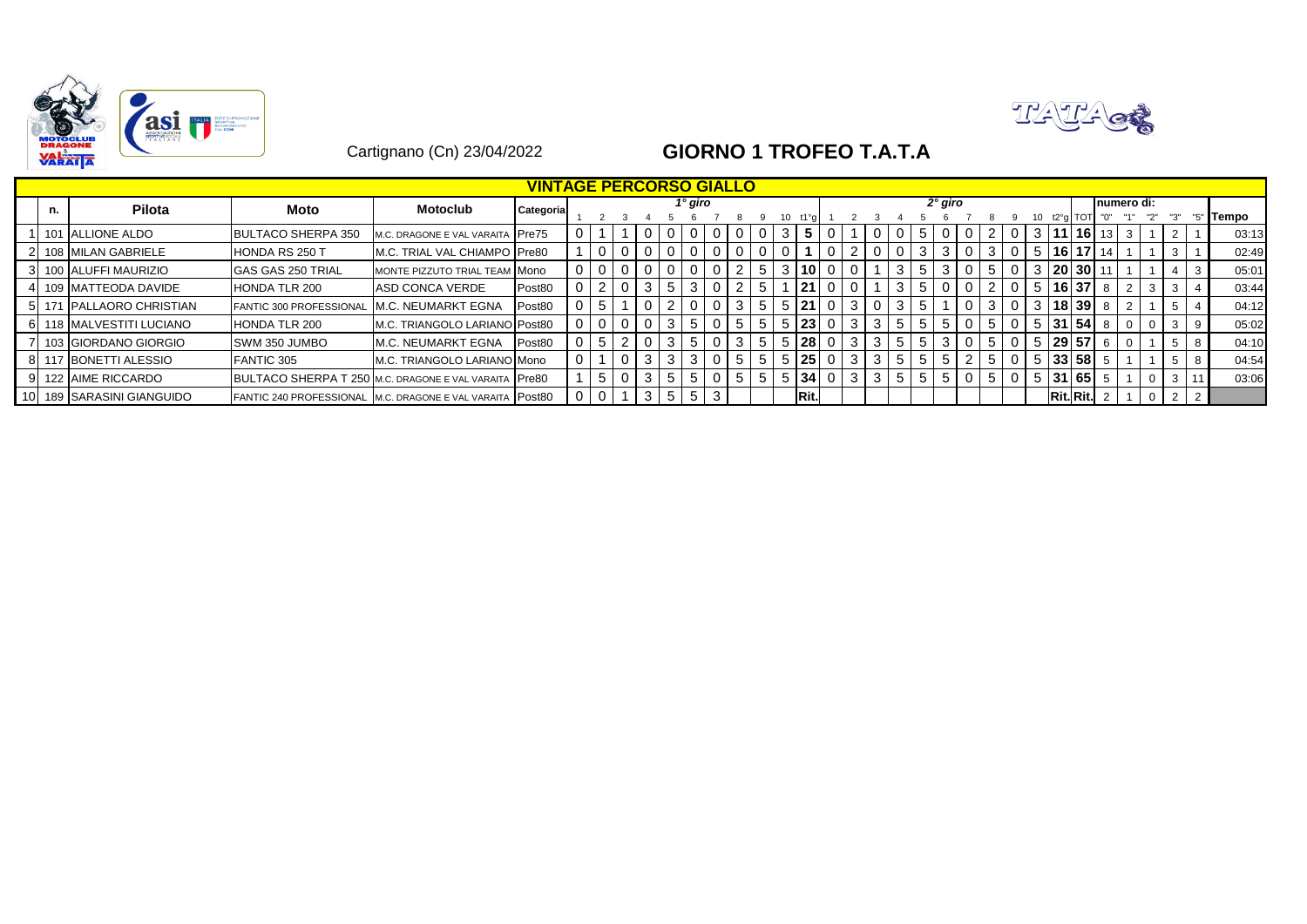



## Cartignano (Cn) 23/04/2022 **GIORNO 1 TROFEO T.A.T.A**

|    |     |                           |                                                           |                                  | <b>VINTAGE PERCORSO GIALLO</b> |  |                |   |                |         |              |    |   |                 |   |                |       |             |           |      |              |   |                 |                                  |    |             |          |   |   |              |
|----|-----|---------------------------|-----------------------------------------------------------|----------------------------------|--------------------------------|--|----------------|---|----------------|---------|--------------|----|---|-----------------|---|----------------|-------|-------------|-----------|------|--------------|---|-----------------|----------------------------------|----|-------------|----------|---|---|--------------|
|    | n.  | <b>Pilota</b>             | Moto                                                      | <b>Motoclub</b>                  | Categoria                      |  |                |   |                | 1° giro |              |    |   |                 |   |                |       |             | $2°$ giro |      |              |   |                 |                                  |    | Inumero di: |          |   |   |              |
|    |     |                           |                                                           |                                  |                                |  |                |   |                |         |              |    |   |                 |   |                |       |             |           |      |              |   |                 | <b>TOT</b>                       |    |             |          |   |   | <b>Tempo</b> |
|    |     | 101 ALLIONE ALDO          | <b>BULTACO SHERPA 350</b>                                 | M.C. DRAGONE E VAL VARAITA Pre75 |                                |  |                |   | 0              |         | 0            |    |   | 5               |   |                |       | $5^{\circ}$ |           |      |              |   |                 | $3 \mid 11 \mid 16 \mid 13 \mid$ |    |             |          |   |   | 03:13        |
|    |     | 108 MILAN GABRIELE        | <b>HONDA RS 250 T</b>                                     | M.C. TRIAL VAL CHIAMPO Pre80     |                                |  | $\Omega$       |   | $\Omega$       |         | $\Omega$     |    |   |                 |   |                |       | 3           |           |      |              | 5 | 16 <sup>1</sup> | 17                               |    |             |          |   |   | 02:49        |
|    |     | 100 ALUFFI MAURIZIO       | <b>GAS GAS 250 TRIAL</b>                                  | MONTE PIZZUTO TRIAL TEAM MONO    |                                |  | $\Omega$       |   | $\Omega$       |         | $\Omega$     |    |   | 10 <sup>1</sup> |   |                |       |             |           |      |              |   |                 | 20   30                          |    |             |          |   | 3 | 05:01        |
|    | 109 | <b>IMATTEODA DAVIDE</b>   | <b>HONDA TLR 200</b>                                      | ASD CONCA VERDE                  | Post80                         |  | $\mathbf 0$    | 3 | 5              |         | $\mathbf{0}$ |    | 5 | 21              |   |                | 3     | -5          |           |      | 0            | 5 |                 | 16 37                            | -8 |             |          |   |   | 03:44        |
|    |     | 5 171 PALLAORO CHRISTIAN  | <b>FANTIC 300 PROFESSIONAL</b>                            | <b>IM.C. NEUMARKT EGNA</b>       | Post80                         |  |                |   |                |         | 0            |    | 5 | 21              | 3 | $\overline{0}$ | 3     | 5           |           | -3 I | $\mathbf{0}$ |   |                 | $3 \mid 18 \mid 39 \mid$         | -8 |             |          |   |   | 04:12        |
|    |     | 6 118 MALVESTITI LUCIANO  | <b>HONDA TLR 200</b>                                      | M.C. TRIANGOLO LARIANO Post80    |                                |  | $\overline{0}$ |   | 3              |         | $\mathbf{0}$ |    |   | 23              |   | 3              |       | -5          |           | 5    |              |   |                 | 31 54                            |    |             |          |   |   | 05:02        |
|    |     | 103 GIORDANO GIORGIO      | <b>SWM 350 JUMBO</b>                                      | <b>IM.C. NEUMARKT EGNA</b>       | Post80                         |  | 2              |   | 3              |         | 0            |    |   | 28              |   |                |       | 5           |           |      |              |   |                 | 29 57                            |    |             |          |   |   | 04:10        |
|    |     | 8   117 BONETTI ALESSIO   | <b>FANTIC 305</b>                                         | M.C. TRIANGOLO LARIANO Mono      |                                |  | $\overline{0}$ | 3 | 3 <sup>1</sup> |         | $\Omega$     | 5  | 5 | 25              |   | 3              | $5 -$ | 5           |           | 5    | 0            | 5 |                 | $ 33 58$ 5                       |    |             |          |   |   | 04:54        |
| 91 |     | 122 AIME RICCARDO         | BULTACO SHERPA T 250 M.C. DRAGONE E VAL VARAITA Pre80     |                                  |                                |  | $\mathbf 0$    | 3 | 5 <sup>1</sup> | b       | $\mathbf{0}$ | 5. | 5 | 34              |   | -3             | 5     | 5           |           | 5    | 0            | 5 |                 | $ 31 65 $                        |    |             | $\Omega$ | 3 |   | 03:06        |
|    |     | 10 189 SARASINI GIANGUIDO | FANTIC 240 PROFESSIONAL M.C. DRAGONE E VAL VARAITA Post80 |                                  |                                |  |                |   | 5              |         | 3            |    |   | <b>Rit</b>      |   |                |       |             |           |      |              |   |                 | Rit.Rit.                         |    |             |          |   |   |              |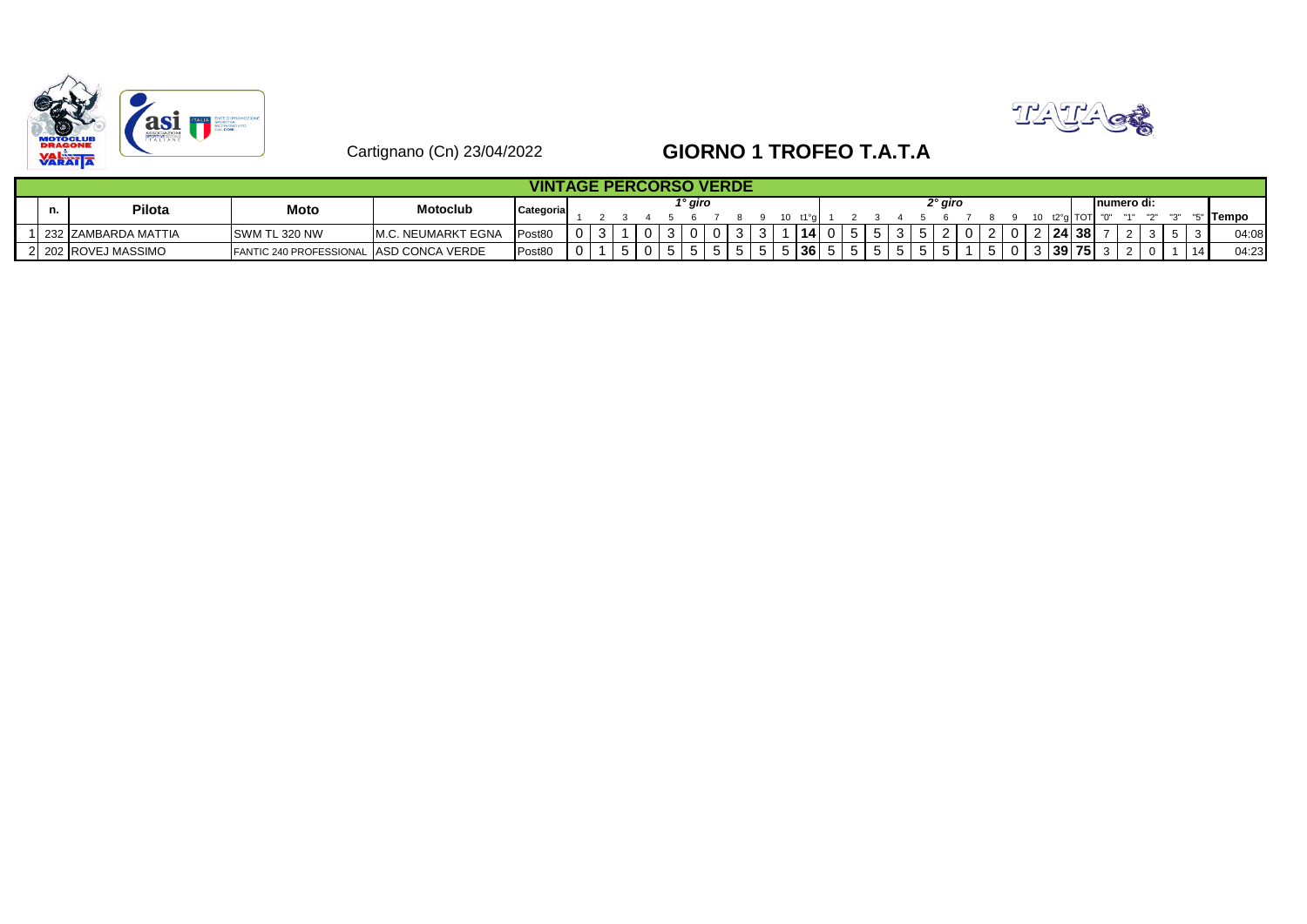



## Cartignano (Cn) 23/04/2022 **GIORNO 1 TROFEO T.A.T.A**

|  |                     |                                         |                            | <b>VINTAGE PERCORSO VERDE</b> |  |   |   |         |   |   |           |        |    |  |         |   |              |           |                  |   |             |  |          |
|--|---------------------|-----------------------------------------|----------------------------|-------------------------------|--|---|---|---------|---|---|-----------|--------|----|--|---------|---|--------------|-----------|------------------|---|-------------|--|----------|
|  | Pilota              | Moto                                    | <b>Motoclub</b>            | Categoria                     |  |   |   | 1° giro |   |   |           |        |    |  | າ° giro |   |              |           |                  |   | Inumero di: |  |          |
|  |                     |                                         |                            |                               |  |   |   |         |   |   | 11°n      |        |    |  |         |   |              | t2°al TOT |                  | " |             |  | " ITempo |
|  | 232 ZAMBARDA MATTIA | <b>SWM TL 320 NW</b>                    | <b>IM.C. NEUMARKT EGNA</b> | Post <sub>80</sub>            |  |   |   |         |   |   | 14        | ັບ     |    |  |         |   |              |           | 24 38            |   |             |  | 04:08    |
|  | 2 202 ROVEJ MASSIMO | FANTIC 240 PROFESSIONAL ASD CONCA VERDE |                            | Post80                        |  | J | C |         | ັ | ີ | <b>36</b> | <br>ີວ | ່ວ |  |         | ີ | <sup>n</sup> |           | <u>ി 39 75 ക</u> |   |             |  | 04:23    |